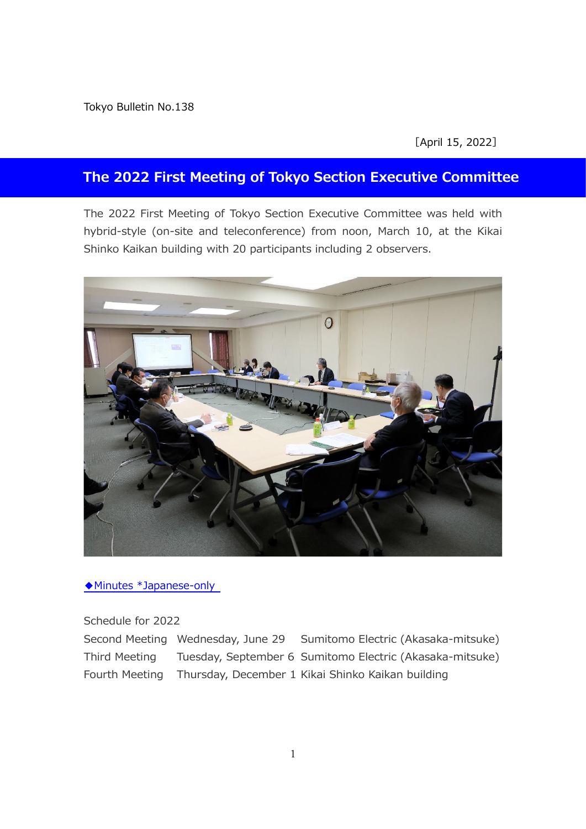Tokyo Bulletin No.138

[April 15, 2022]

#### **The 2022 First Meeting of Tokyo Section Executive Committee**

The 2022 First Meeting of Tokyo Section Executive Committee was held with hybrid-style (on-site and teleconference) from noon, March 10, at the Kikai Shinko Kaikan building with 20 participants including 2 observers.



[◆Minutes \\*Japanese-only](http://ieee-jp.org/section/tokyo/adm/agenda/giji22-1.pdf)

Schedule for 2022

Second Meeting Wednesday, June 29 Sumitomo Electric (Akasaka-mitsuke) Third Meeting Tuesday, September 6 Sumitomo Electric (Akasaka-mitsuke) Fourth Meeting Thursday, December 1 Kikai Shinko Kaikan building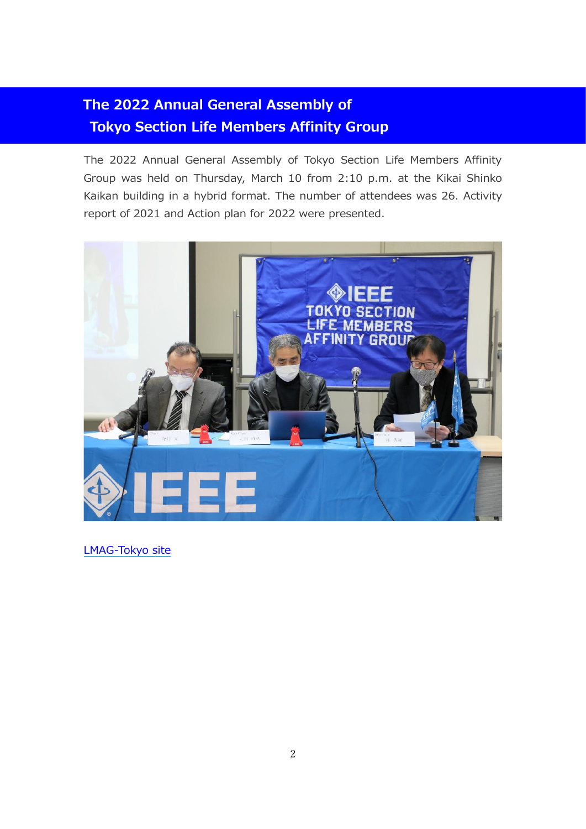# **The 2022 Annual General Assembly of Tokyo Section Life Members Affinity Group**

The 2022 Annual General Assembly of Tokyo Section Life Members Affinity Group was held on Thursday, March 10 from 2:10 p.m. at the Kikai Shinko Kaikan building in a hybrid format. The number of attendees was 26. Activity report of 2021 and Action plan for 2022 were presented.



[LMAG-Tokyo site](https://ieee-jp.org/section/tokyo/en/about/lmag.html)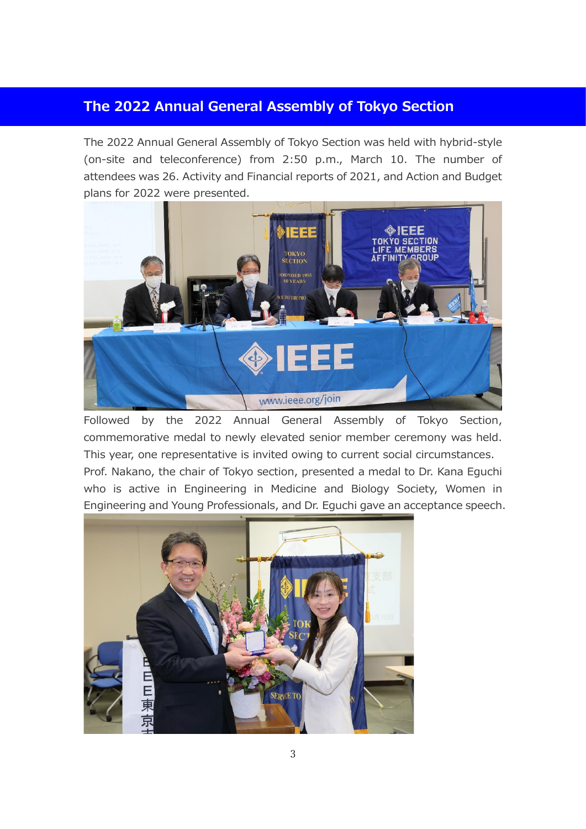### **The 2022 Annual General Assembly of Tokyo Section**

The 2022 Annual General Assembly of Tokyo Section was held with hybrid-style (on-site and teleconference) from 2:50 p.m., March 10. The number of attendees was 26. Activity and Financial reports of 2021, and Action and Budget plans for 2022 were presented.



Followed by the 2022 Annual General Assembly of Tokyo Section, commemorative medal to newly elevated senior member ceremony was held. This year, one representative is invited owing to current social circumstances. Prof. Nakano, the chair of Tokyo section, presented a medal to Dr. Kana Eguchi who is active in Engineering in Medicine and Biology Society, Women in Engineering and Young Professionals, and Dr. Eguchi gave an acceptance speech.

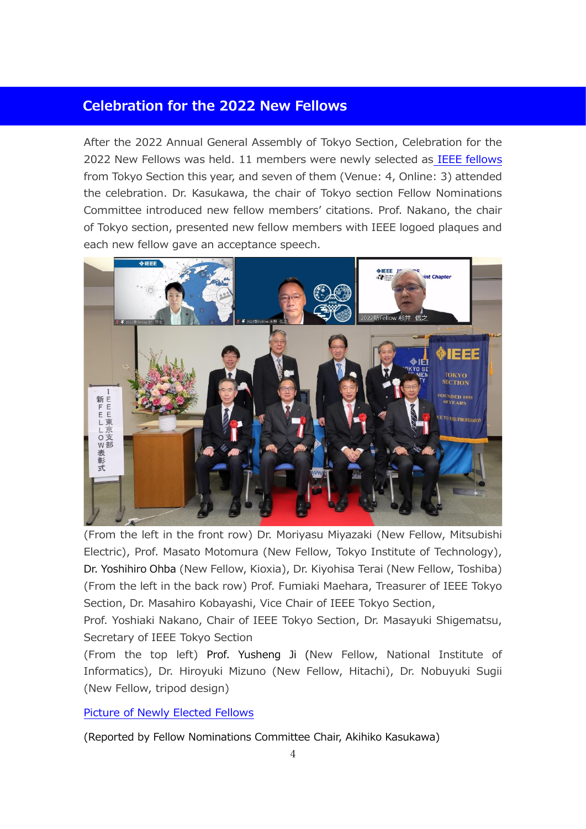#### **Celebration for the 2022 New Fellows**

After the 2022 Annual General Assembly of Tokyo Section, Celebration for the 2022 New Fellows was held. 11 members were newly selected as [IEEE fellows](https://ieee-jp.org/en/kaiin/fellow/2022-new-fellows.html) from Tokyo Section this year, and seven of them (Venue: 4, Online: 3) attended the celebration. Dr. Kasukawa, the chair of Tokyo section Fellow Nominations Committee introduced new fellow members' citations. Prof. Nakano, the chair of Tokyo section, presented new fellow members with IEEE logoed plaques and each new fellow gave an acceptance speech.



(From the left in the front row) Dr. Moriyasu Miyazaki (New Fellow, Mitsubishi Electric), Prof. Masato Motomura (New Fellow, Tokyo Institute of Technology), Dr. Yoshihiro Ohba (New Fellow, Kioxia), Dr. Kiyohisa Terai (New Fellow, Toshiba) (From the left in the back row) Prof. Fumiaki Maehara, Treasurer of IEEE Tokyo Section, Dr. Masahiro Kobayashi, Vice Chair of IEEE Tokyo Section,

Prof. Yoshiaki Nakano, Chair of IEEE Tokyo Section, Dr. Masayuki Shigematsu, Secretary of IEEE Tokyo Section

(From the top left) Prof. Yusheng Ji (New Fellow, National Institute of Informatics), Dr. Hiroyuki Mizuno (New Fellow, Hitachi), Dr. Nobuyuki Sugii (New Fellow, tripod design)

[Picture of Newly Elected Fellows](http://ieee-jp.org/section/tokyo/bulletin/2022/No138/No138_Fellow.pdf)

(Reported by Fellow Nominations Committee Chair, Akihiko Kasukawa)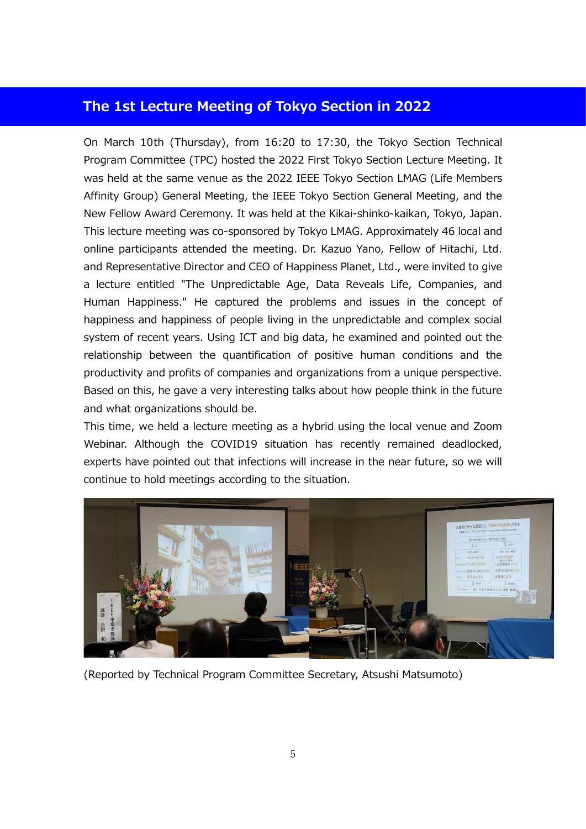#### **The 1st Lecture Meeting of Tokyo Section in 2022**

On March 10th (Thursday), from 16:20 to 17:30, the Tokyo Section Technical Program Committee (TPC) hosted the 2022 First Tokyo Section Lecture Meeting. It was held at the same venue as the 2022 IEEE Tokyo Section LMAG (Life Members Affinity Group) General Meeting, the IEEE Tokyo Section General Meeting, and the New Fellow Award Ceremony. It was held at the Kikai-shinko-kaikan, Tokyo, Japan. This lecture meeting was co-sponsored by Tokyo LMAG. Approximately 46 local and online participants attended the meeting. Dr. Kazuo Yano, Fellow of Hitachi, Ltd. and Representative Director and CEO of Happiness Planet, Ltd., were invited to give a lecture entitled "The Unpredictable Age, Data Reveals Life, Companies, and Human Happiness." He captured the problems and issues in the concept of happiness and happiness of people living in the unpredictable and complex social system of recent years. Using ICT and big data, he examined and pointed out the relationship between the quantification of positive human conditions and the productivity and profits of companies and organizations from a unique perspective. Based on this, he gave a very interesting talks about how people think in the future and what organizations should be.

This time, we held a lecture meeting as a hybrid using the local venue and Zoom Webinar. Although the COVID19 situation has recently remained deadlocked, experts have pointed out that infections will increase in the near future, so we will continue to hold meetings according to the situation.



(Reported by Technical Program Committee Secretary, Atsushi Matsumoto)